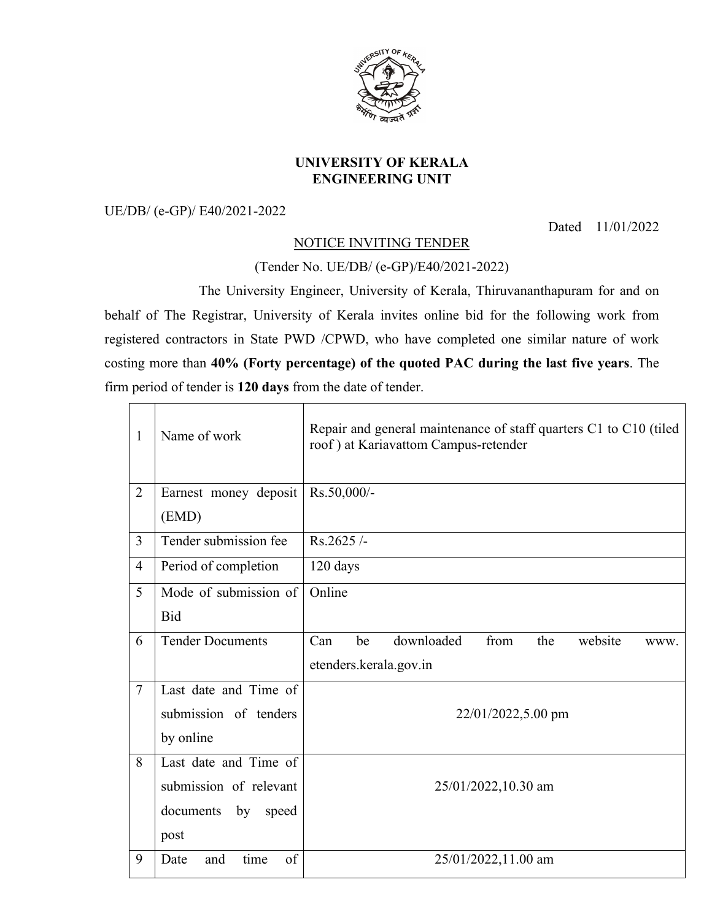

## **UNIVERSITY OF KERALA ENGINEERING UNIT**

UE/DB/ (e-GP)/ E40/2021-2022

Dated 11/01/2022

## NOTICE INVITING TENDER

(Tender No. UE/DB/ (e-GP)/E40/2021-2022)

The University Engineer, University of Kerala, Thiruvananthapuram for and on behalf of The Registrar, University of Kerala invites online bid for the following work from registered contractors in State PWD /CPWD, who have completed one similar nature of work costing more than **40% (Forty percentage) of the quoted PAC during the last five years**. The firm period of tender is **120 days** from the date of tender.

| $\mathbf{1}$   | Name of work                   | Repair and general maintenance of staff quarters C1 to C10 (tiled<br>roof) at Kariavattom Campus-retender |  |  |
|----------------|--------------------------------|-----------------------------------------------------------------------------------------------------------|--|--|
| $\overline{2}$ | Earnest money deposit<br>(EMD) | Rs.50,000/-                                                                                               |  |  |
| $\overline{3}$ | Tender submission fee          | $Rs.2625/-$                                                                                               |  |  |
| $\overline{4}$ | Period of completion           | 120 days                                                                                                  |  |  |
| 5              | Mode of submission of          | Online                                                                                                    |  |  |
|                | Bid                            |                                                                                                           |  |  |
| 6              | <b>Tender Documents</b>        | Can<br>downloaded<br>from<br>be<br>the<br>website<br>WWW.                                                 |  |  |
|                |                                | etenders.kerala.gov.in                                                                                    |  |  |
| $\overline{7}$ | Last date and Time of          |                                                                                                           |  |  |
|                | submission of tenders          | 22/01/2022,5.00 pm                                                                                        |  |  |
|                | by online                      |                                                                                                           |  |  |
| 8              | Last date and Time of          |                                                                                                           |  |  |
|                | submission of relevant         | 25/01/2022,10.30 am                                                                                       |  |  |
|                | documents<br>by speed          |                                                                                                           |  |  |
|                | post                           |                                                                                                           |  |  |
| 9              | time<br>of<br>Date<br>and      | 25/01/2022,11.00 am                                                                                       |  |  |
|                |                                |                                                                                                           |  |  |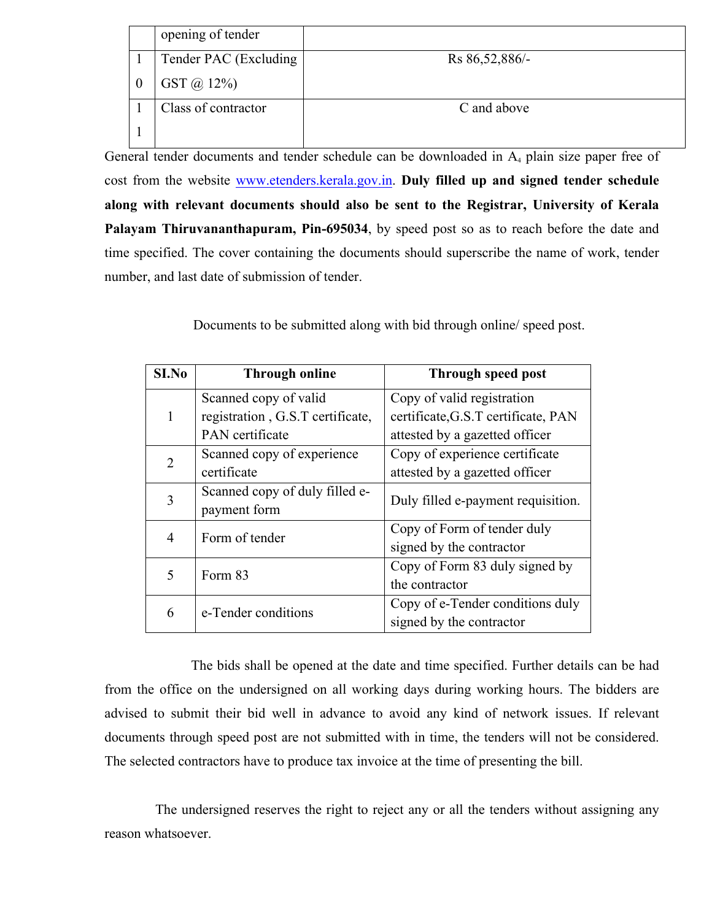| opening of tender     |                |
|-----------------------|----------------|
| Tender PAC (Excluding | Rs 86,52,886/- |
| $GST @ 12\%)$         |                |
| Class of contractor   | C and above    |
|                       |                |

General tender documents and tender schedule can be downloaded in A<sub>4</sub> plain size paper free of cost from the website www.etenders.kerala.gov.in. **Duly filled up and signed tender schedule along with relevant documents should also be sent to the Registrar, University of Kerala Palayam Thiruvananthapuram, Pin-695034**, by speed post so as to reach before the date and time specified. The cover containing the documents should superscribe the name of work, tender number, and last date of submission of tender.

Documents to be submitted along with bid through online/ speed post.

| S <sub>I.No</sub> | <b>Through online</b>            | Through speed post                  |
|-------------------|----------------------------------|-------------------------------------|
|                   | Scanned copy of valid            | Copy of valid registration          |
| 1                 | registration, G.S.T certificate, | certificate, G.S.T certificate, PAN |
|                   | PAN certificate                  | attested by a gazetted officer      |
| 2                 | Scanned copy of experience       | Copy of experience certificate      |
|                   | certificate                      | attested by a gazetted officer      |
| 3                 | Scanned copy of duly filled e-   | Duly filled e-payment requisition.  |
|                   | payment form                     |                                     |
| 4                 | Form of tender                   | Copy of Form of tender duly         |
|                   |                                  | signed by the contractor            |
| 5                 | Form 83                          | Copy of Form 83 duly signed by      |
|                   |                                  | the contractor                      |
| 6                 | e-Tender conditions              | Copy of e-Tender conditions duly    |
|                   |                                  | signed by the contractor            |

The bids shall be opened at the date and time specified. Further details can be had from the office on the undersigned on all working days during working hours. The bidders are advised to submit their bid well in advance to avoid any kind of network issues. If relevant documents through speed post are not submitted with in time, the tenders will not be considered. The selected contractors have to produce tax invoice at the time of presenting the bill.

The undersigned reserves the right to reject any or all the tenders without assigning any reason whatsoever.